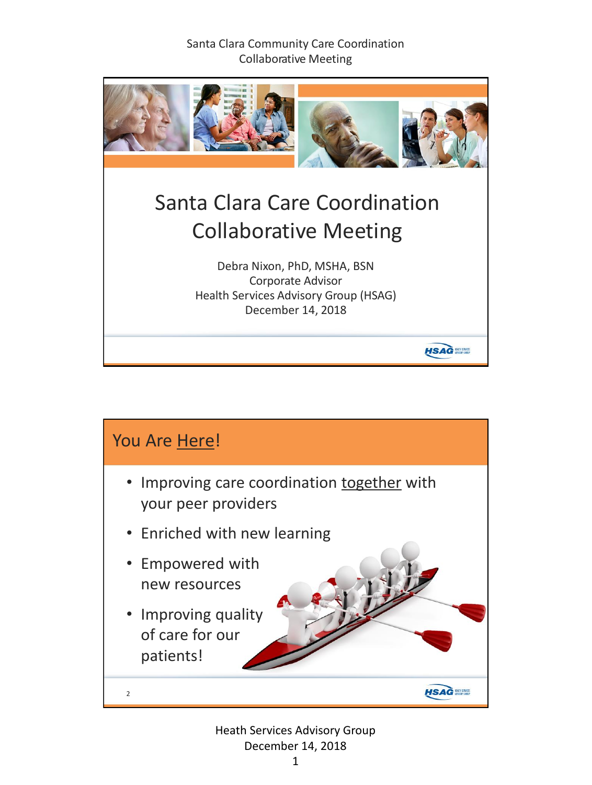

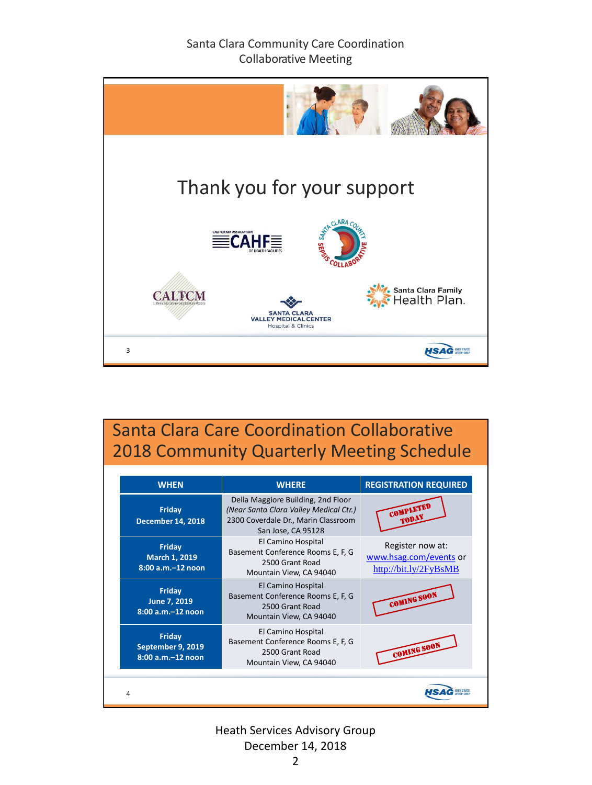

# Santa Clara Care Coordination Collaborative 2018 Community Quarterly Meeting Schedule

| <b>WHEN</b>                                      | <b>WHERE</b>                                                                                                                              | <b>REGISTRATION REQUIRED</b>                                        |
|--------------------------------------------------|-------------------------------------------------------------------------------------------------------------------------------------------|---------------------------------------------------------------------|
| Friday<br><b>December 14, 2018</b>               | Della Maggiore Building, 2nd Floor<br>(Near Santa Clara Valley Medical Ctr.)<br>2300 Coverdale Dr., Marin Classroom<br>San Jose, CA 95128 | COMPLETED<br>TODAY                                                  |
| Friday<br>March 1, 2019<br>8:00 a.m.-12 noon     | El Camino Hospital<br>Basement Conference Rooms E, F, G<br>2500 Grant Road<br>Mountain View, CA 94040                                     | Register now at:<br>www.hsag.com/events or<br>http://bit.ly/2FyBsMB |
| Friday<br>June 7, 2019<br>8:00 a.m.-12 noon      | El Camino Hospital<br>Basement Conference Rooms E, F, G<br>2500 Grant Road<br>Mountain View, CA 94040                                     | <b>COMING SOON</b>                                                  |
| Friday<br>September 9, 2019<br>8:00 a.m.-12 noon | El Camino Hospital<br>Basement Conference Rooms E, F, G<br>2500 Grant Road<br>Mountain View, CA 94040                                     | COMING SOON                                                         |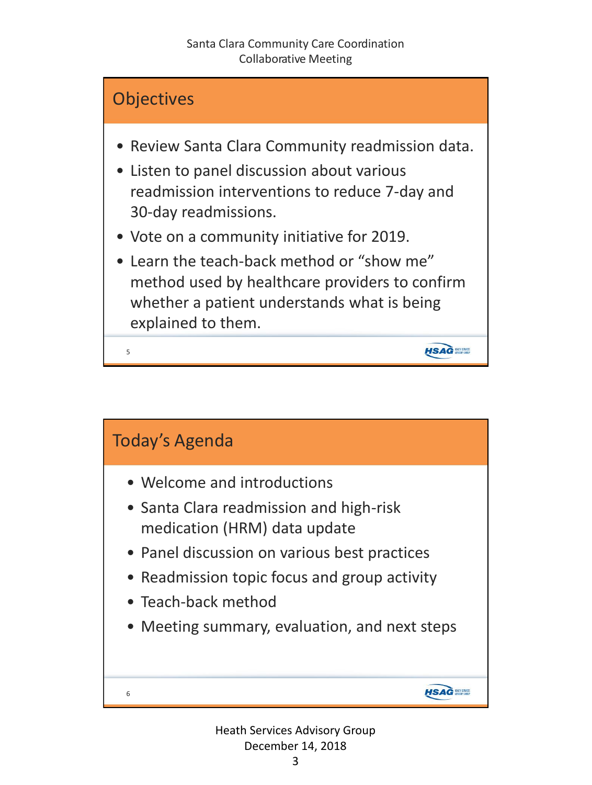

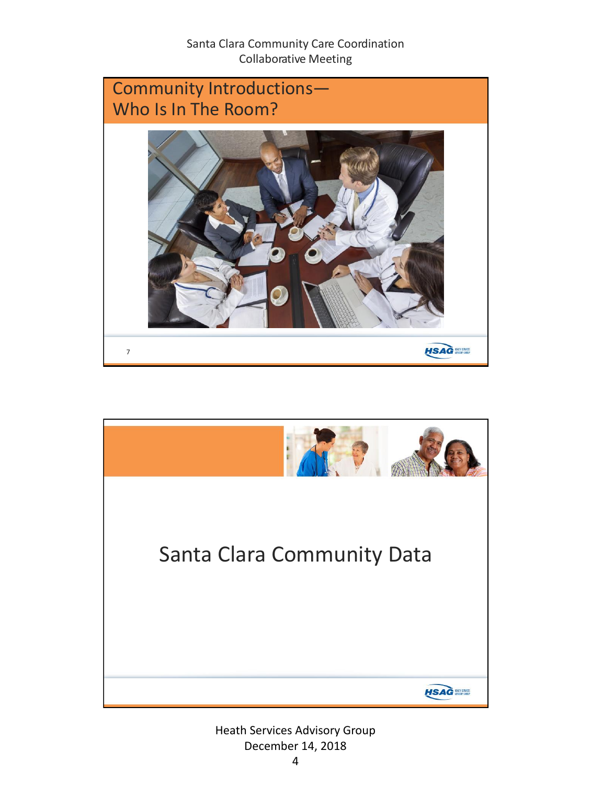

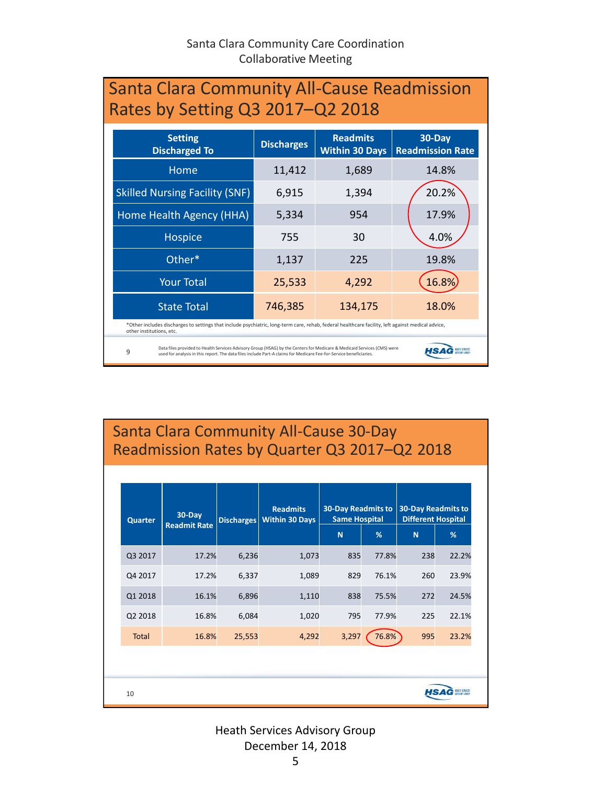| <b>Santa Clara Community All-Cause Readmission</b><br>Rates by Setting Q3 2017-Q2 2018                                                                                                                                                             |                   |                                          |                                   |  |  |
|----------------------------------------------------------------------------------------------------------------------------------------------------------------------------------------------------------------------------------------------------|-------------------|------------------------------------------|-----------------------------------|--|--|
| <b>Setting</b><br><b>Discharged To</b>                                                                                                                                                                                                             | <b>Discharges</b> | <b>Readmits</b><br><b>Within 30 Days</b> | 30-Day<br><b>Readmission Rate</b> |  |  |
| Home                                                                                                                                                                                                                                               | 11,412            | 1,689                                    | 14.8%                             |  |  |
| <b>Skilled Nursing Facility (SNF)</b>                                                                                                                                                                                                              | 6,915             | 1,394                                    | 20.2%                             |  |  |
| Home Health Agency (HHA)                                                                                                                                                                                                                           | 5,334             | 954                                      | 17.9%                             |  |  |
| <b>Hospice</b>                                                                                                                                                                                                                                     | 755               | 30                                       | 4.0%                              |  |  |
| Other*                                                                                                                                                                                                                                             | 1,137             | 225                                      | 19.8%                             |  |  |
| <b>Your Total</b>                                                                                                                                                                                                                                  | 25,533            | 4,292                                    | 16.8%                             |  |  |
| <b>State Total</b>                                                                                                                                                                                                                                 | 746,385           | 134,175                                  | 18.0%                             |  |  |
| *Other includes discharges to settings that include psychiatric, long-term care, rehab, federal healthcare facility, left against medical advice,<br>other institutions, etc.                                                                      |                   |                                          |                                   |  |  |
| Data files provided to Health Services Advisory Group (HSAG) by the Centers for Medicare & Medicaid Services (CMS) were<br>9<br>used for analysis in this report. The data files include Part-A claims for Medicare Fee-for-Service beneficiaries. |                   |                                          |                                   |  |  |

# Santa Clara Community All-Cause 30-Day Readmission Rates by Quarter Q3 2017–Q2 2018

| <b>Quarter</b> | 30-Day<br><b>Readmit Rate</b> | <b>Discharges</b> | <b>Readmits</b><br><b>Within 30 Days</b> | <b>30-Day Readmits to</b><br><b>Same Hospital</b><br>N | %     | <b>30-Day Readmits to</b><br><b>Different Hospital</b><br>N | %     |
|----------------|-------------------------------|-------------------|------------------------------------------|--------------------------------------------------------|-------|-------------------------------------------------------------|-------|
| Q3 2017        | 17.2%                         | 6,236             | 1,073                                    | 835                                                    | 77.8% | 238                                                         | 22.2% |
| Q4 2017        | 17.2%                         | 6,337             | 1,089                                    | 829                                                    | 76.1% | 260                                                         | 23.9% |
| Q1 2018        | 16.1%                         | 6,896             | 1,110                                    | 838                                                    | 75.5% | 272                                                         | 24.5% |
| Q2 2018        | 16.8%                         | 6,084             | 1,020                                    | 795                                                    | 77.9% | 225                                                         | 22.1% |
| <b>Total</b>   | 16.8%                         | 25,553            | 4,292                                    | 3,297                                                  | 76.8% | 995                                                         | 23.2% |
|                |                               |                   |                                          |                                                        |       |                                                             |       |
| 10             |                               |                   |                                          |                                                        |       | HS.                                                         |       |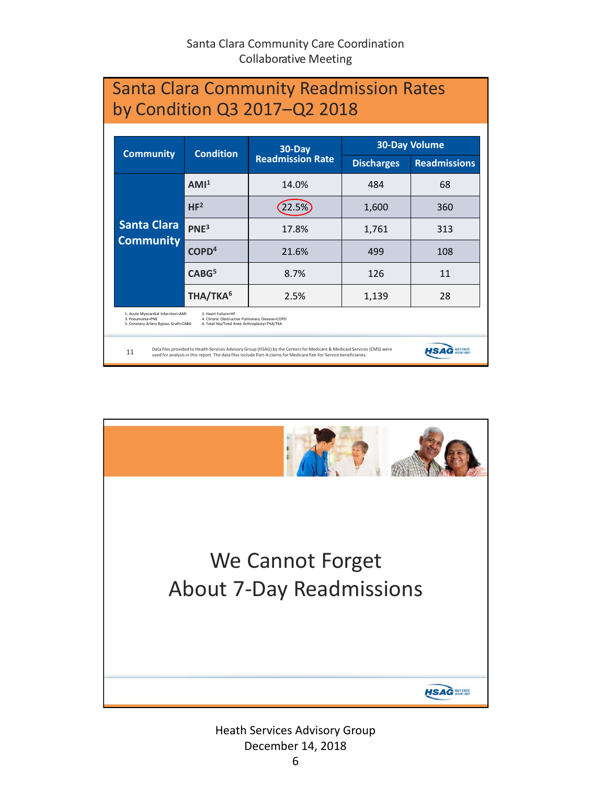| 30-Day<br><b>Condition</b>             |                      |                         | <b>30-Day Volume</b> |                     |  |
|----------------------------------------|----------------------|-------------------------|----------------------|---------------------|--|
| <b>Community</b>                       |                      | <b>Readmission Rate</b> | <b>Discharges</b>    | <b>Readmissions</b> |  |
|                                        | AMI <sup>1</sup>     | 14.0%                   | 484                  | 68                  |  |
|                                        | HF <sup>2</sup>      | 22.5%                   | 1,600                | 360                 |  |
| <b>Santa Clara</b><br><b>Community</b> | PNE <sup>3</sup>     | 17.8%                   | 1,761                | 313                 |  |
|                                        | COPD <sup>4</sup>    | 21.6%                   | 499                  | 108                 |  |
|                                        | CABG <sup>5</sup>    | 8.7%                    | 126                  | 11                  |  |
|                                        | THA/TKA <sup>6</sup> | 2.5%                    | 1,139                | 28                  |  |

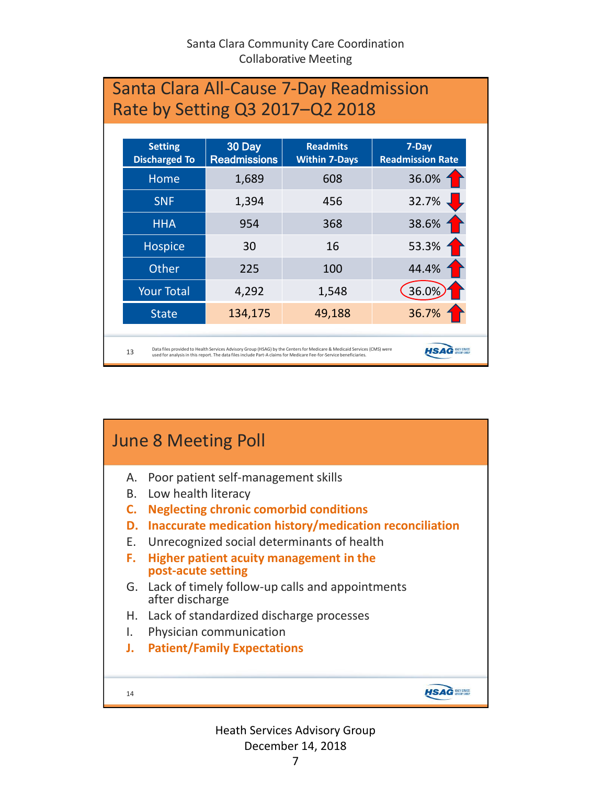| Santa Clara All-Cause 7-Day Readmission<br>Rate by Setting Q3 2017-Q2 2018 |                                        |                               |                                                                                                                                                                                                                                               |                                  |  |
|----------------------------------------------------------------------------|----------------------------------------|-------------------------------|-----------------------------------------------------------------------------------------------------------------------------------------------------------------------------------------------------------------------------------------------|----------------------------------|--|
|                                                                            | <b>Setting</b><br><b>Discharged To</b> | 30 Day<br><b>Readmissions</b> | <b>Readmits</b><br><b>Within 7-Days</b>                                                                                                                                                                                                       | 7-Day<br><b>Readmission Rate</b> |  |
|                                                                            | Home                                   | 1,689                         | 608                                                                                                                                                                                                                                           | 36.0%                            |  |
|                                                                            | <b>SNF</b>                             | 1,394                         | 456                                                                                                                                                                                                                                           | 32.7%                            |  |
|                                                                            | <b>HHA</b>                             | 954                           | 368                                                                                                                                                                                                                                           | 38.6%                            |  |
|                                                                            | Hospice                                | 30                            | 16                                                                                                                                                                                                                                            | 53.3%                            |  |
|                                                                            | Other                                  | 225                           | 100                                                                                                                                                                                                                                           | 44.4%                            |  |
|                                                                            | <b>Your Total</b>                      | 4,292                         | 1,548                                                                                                                                                                                                                                         | 36.0%                            |  |
|                                                                            | <b>State</b>                           | 134,175                       | 49,188                                                                                                                                                                                                                                        | 36.7%                            |  |
|                                                                            | 13                                     |                               | Data files provided to Health Services Advisory Group (HSAG) by the Centers for Medicare & Medicaid Services (CMS) were<br>used for analysis in this report. The data files include Part-A claims for Medicare Fee-for-Service beneficiaries. |                                  |  |

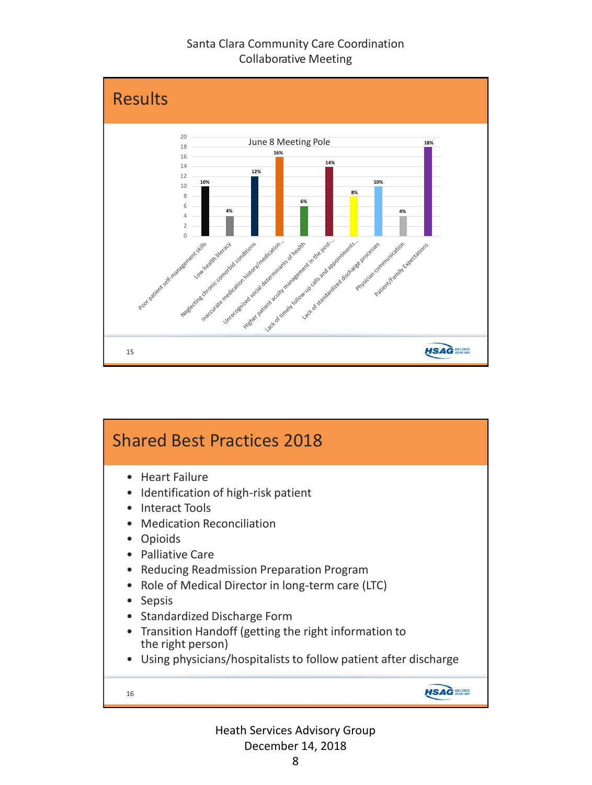

## Shared Best Practices 2018 • Heart Failure • Identification of high-risk patient • Interact Tools • Medication Reconciliation • Opioids • Palliative Care • Reducing Readmission Preparation Program • Role of Medical Director in long-term care (LTC) • Sepsis • Standardized Discharge Form • Transition Handoff (getting the right information to the right person) • Using physicians/hospitalists to follow patient after discharge **HSAG MARKET** 16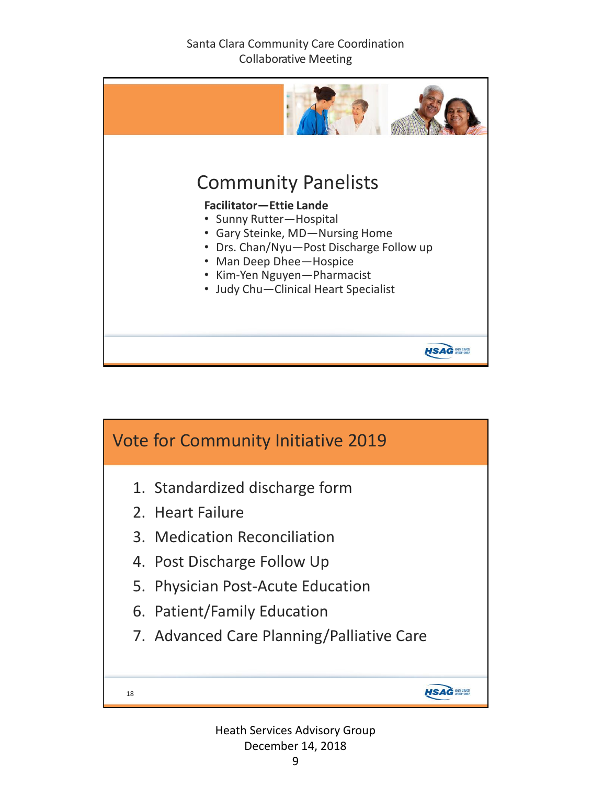

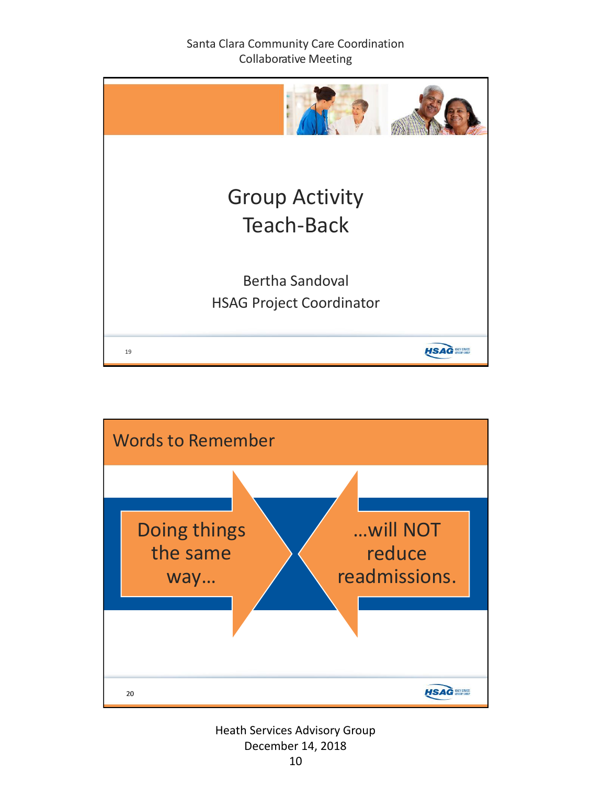

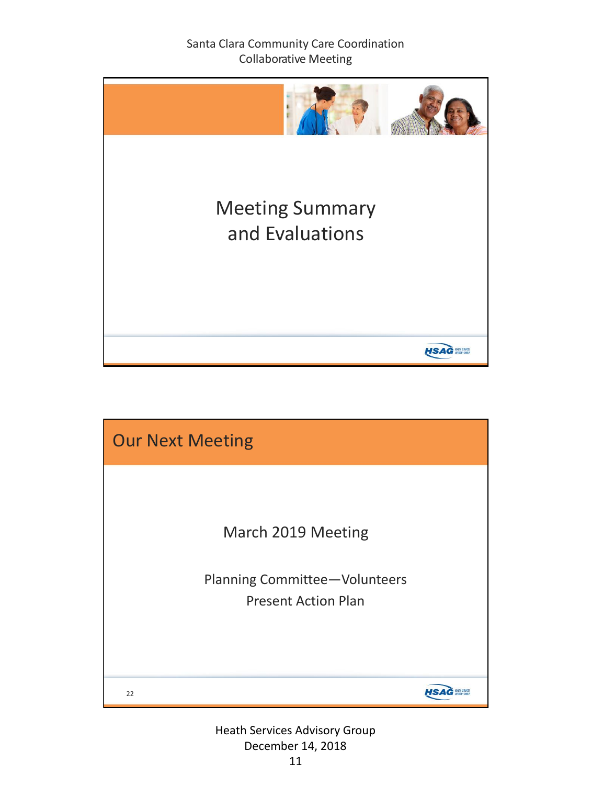

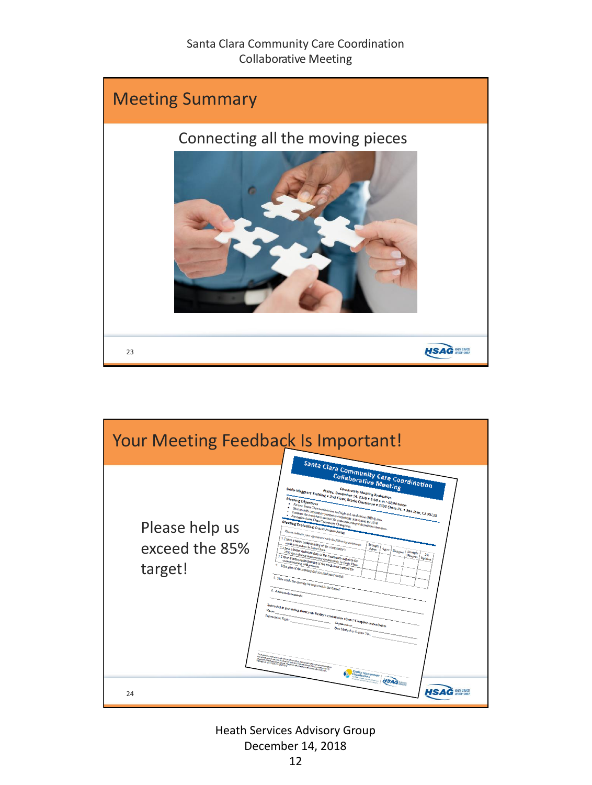

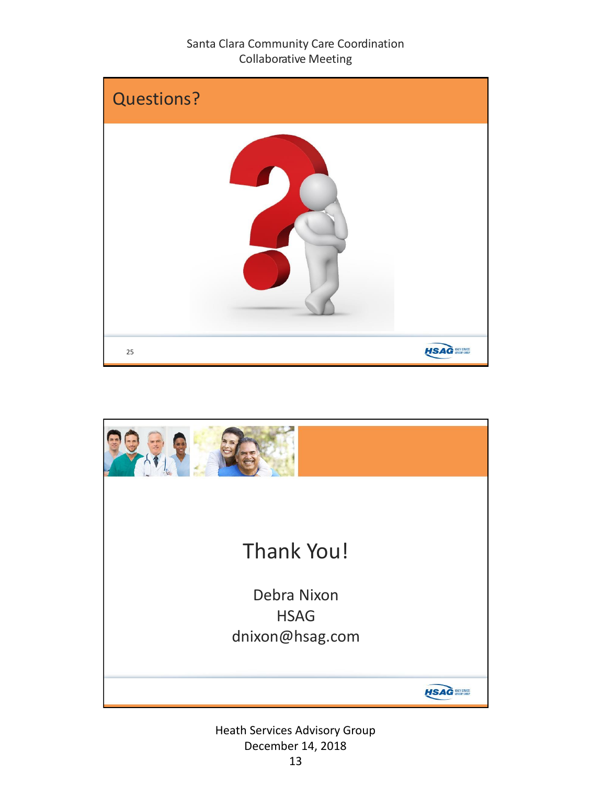